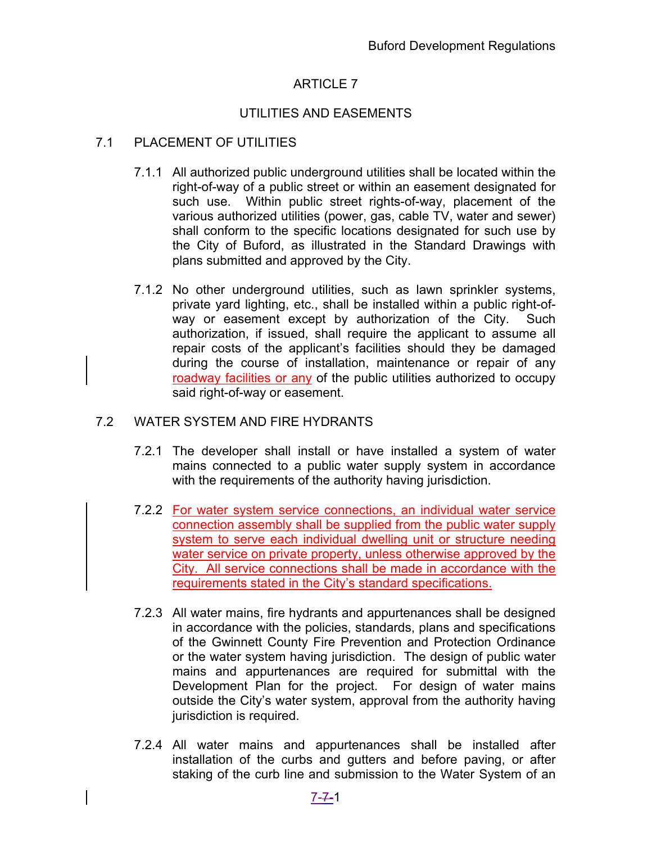# ARTICLE 7

## UTILITIES AND EASEMENTS

### 7.1 PLACEMENT OF UTILITIES

- 7.1.1 All authorized public underground utilities shall be located within the right-of-way of a public street or within an easement designated for such use. Within public street rights-of-way, placement of the various authorized utilities (power, gas, cable TV, water and sewer) shall conform to the specific locations designated for such use by the City of Buford, as illustrated in the Standard Drawings with plans submitted and approved by the City.
- 7.1.2 No other underground utilities, such as lawn sprinkler systems, private yard lighting, etc., shall be installed within a public right-ofway or easement except by authorization of the City. Such authorization, if issued, shall require the applicant to assume all repair costs of the applicant's facilities should they be damaged during the course of installation, maintenance or repair of any roadway facilities or any of the public utilities authorized to occupy said right-of-way or easement.

### 7.2 WATER SYSTEM AND FIRE HYDRANTS

- 7.2.1 The developer shall install or have installed a system of water mains connected to a public water supply system in accordance with the requirements of the authority having jurisdiction.
- 7.2.2 For water system service connections, an individual water service connection assembly shall be supplied from the public water supply system to serve each individual dwelling unit or structure needing water service on private property, unless otherwise approved by the City. All service connections shall be made in accordance with the requirements stated in the City's standard specifications.
- 7.2.3 All water mains, fire hydrants and appurtenances shall be designed in accordance with the policies, standards, plans and specifications of the Gwinnett County Fire Prevention and Protection Ordinance or the water system having jurisdiction. The design of public water mains and appurtenances are required for submittal with the Development Plan for the project. For design of water mains outside the City's water system, approval from the authority having jurisdiction is required.
- 7.2.4 All water mains and appurtenances shall be installed after installation of the curbs and gutters and before paving, or after staking of the curb line and submission to the Water System of an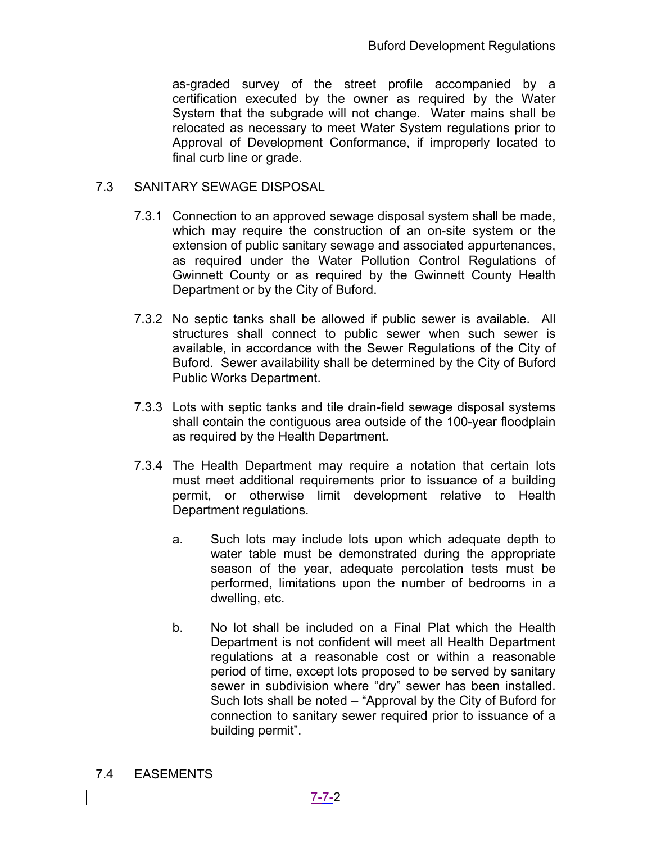as-graded survey of the street profile accompanied by a certification executed by the owner as required by the Water System that the subgrade will not change. Water mains shall be relocated as necessary to meet Water System regulations prior to Approval of Development Conformance, if improperly located to final curb line or grade.

#### 7.3 SANITARY SEWAGE DISPOSAL

- 7.3.1 Connection to an approved sewage disposal system shall be made, which may require the construction of an on-site system or the extension of public sanitary sewage and associated appurtenances, as required under the Water Pollution Control Regulations of Gwinnett County or as required by the Gwinnett County Health Department or by the City of Buford.
- 7.3.2 No septic tanks shall be allowed if public sewer is available. All structures shall connect to public sewer when such sewer is available, in accordance with the Sewer Regulations of the City of Buford. Sewer availability shall be determined by the City of Buford Public Works Department.
- 7.3.3 Lots with septic tanks and tile drain-field sewage disposal systems shall contain the contiguous area outside of the 100-year floodplain as required by the Health Department.
- 7.3.4 The Health Department may require a notation that certain lots must meet additional requirements prior to issuance of a building permit, or otherwise limit development relative to Health Department regulations.
	- a. Such lots may include lots upon which adequate depth to water table must be demonstrated during the appropriate season of the year, adequate percolation tests must be performed, limitations upon the number of bedrooms in a dwelling, etc.
	- b. No lot shall be included on a Final Plat which the Health Department is not confident will meet all Health Department regulations at a reasonable cost or within a reasonable period of time, except lots proposed to be served by sanitary sewer in subdivision where "dry" sewer has been installed. Such lots shall be noted – "Approval by the City of Buford for connection to sanitary sewer required prior to issuance of a building permit".
- 7.4 EASEMENTS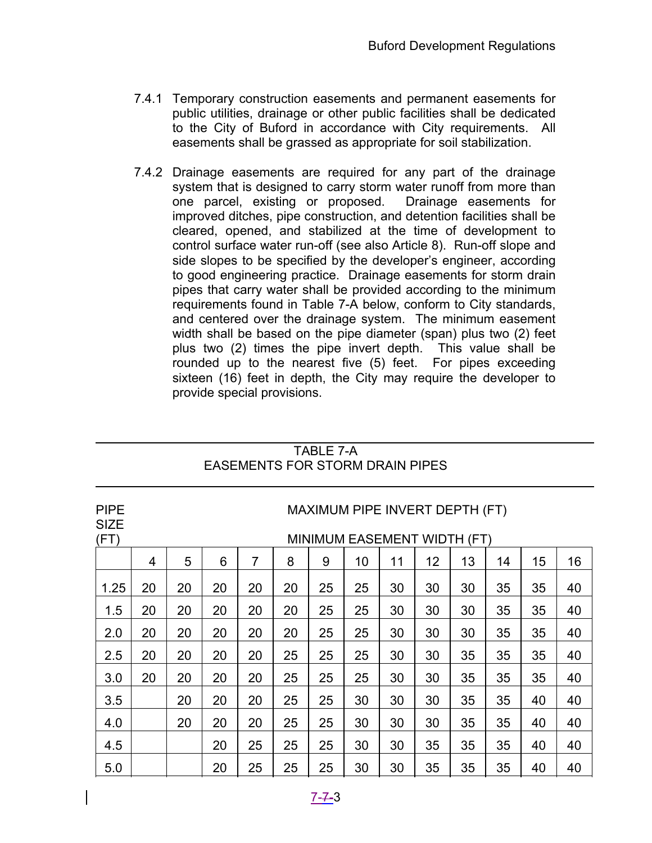- 7.4.1 Temporary construction easements and permanent easements for public utilities, drainage or other public facilities shall be dedicated to the City of Buford in accordance with City requirements. All easements shall be grassed as appropriate for soil stabilization.
- 7.4.2 Drainage easements are required for any part of the drainage system that is designed to carry storm water runoff from more than one parcel, existing or proposed. Drainage easements for improved ditches, pipe construction, and detention facilities shall be cleared, opened, and stabilized at the time of development to control surface water run-off (see also Article 8). Run-off slope and side slopes to be specified by the developer's engineer, according to good engineering practice. Drainage easements for storm drain pipes that carry water shall be provided according to the minimum requirements found in Table 7-A below, conform to City standards, and centered over the drainage system. The minimum easement width shall be based on the pipe diameter (span) plus two (2) feet plus two (2) times the pipe invert depth. This value shall be rounded up to the nearest five (5) feet. For pipes exceeding sixteen (16) feet in depth, the City may require the developer to provide special provisions.

| <b>PIPE</b><br><b>SIZE</b><br>(FT) | MAXIMUM PIPE INVERT DEPTH (FT)<br>MINIMUM EASEMENT WIDTH (FT) |    |    |                |    |    |    |    |    |    |    |    |    |
|------------------------------------|---------------------------------------------------------------|----|----|----------------|----|----|----|----|----|----|----|----|----|
|                                    | $\overline{4}$                                                | 5  | 6  | $\overline{7}$ | 8  | 9  | 10 | 11 | 12 | 13 | 14 | 15 | 16 |
| 1.25                               | 20                                                            | 20 | 20 | 20             | 20 | 25 | 25 | 30 | 30 | 30 | 35 | 35 | 40 |
| 1.5                                | 20                                                            | 20 | 20 | 20             | 20 | 25 | 25 | 30 | 30 | 30 | 35 | 35 | 40 |
| 2.0                                | 20                                                            | 20 | 20 | 20             | 20 | 25 | 25 | 30 | 30 | 30 | 35 | 35 | 40 |
| 2.5                                | 20                                                            | 20 | 20 | 20             | 25 | 25 | 25 | 30 | 30 | 35 | 35 | 35 | 40 |
| 3.0                                | 20                                                            | 20 | 20 | 20             | 25 | 25 | 25 | 30 | 30 | 35 | 35 | 35 | 40 |
| 3.5                                |                                                               | 20 | 20 | 20             | 25 | 25 | 30 | 30 | 30 | 35 | 35 | 40 | 40 |
| 4.0                                |                                                               | 20 | 20 | 20             | 25 | 25 | 30 | 30 | 30 | 35 | 35 | 40 | 40 |
| 4.5                                |                                                               |    | 20 | 25             | 25 | 25 | 30 | 30 | 35 | 35 | 35 | 40 | 40 |
| 5.0                                |                                                               |    | 20 | 25             | 25 | 25 | 30 | 30 | 35 | 35 | 35 | 40 | 40 |

#### TABLE 7-A EASEMENTS FOR STORM DRAIN PIPES

 $\overline{a}$ 

 $\overline{a}$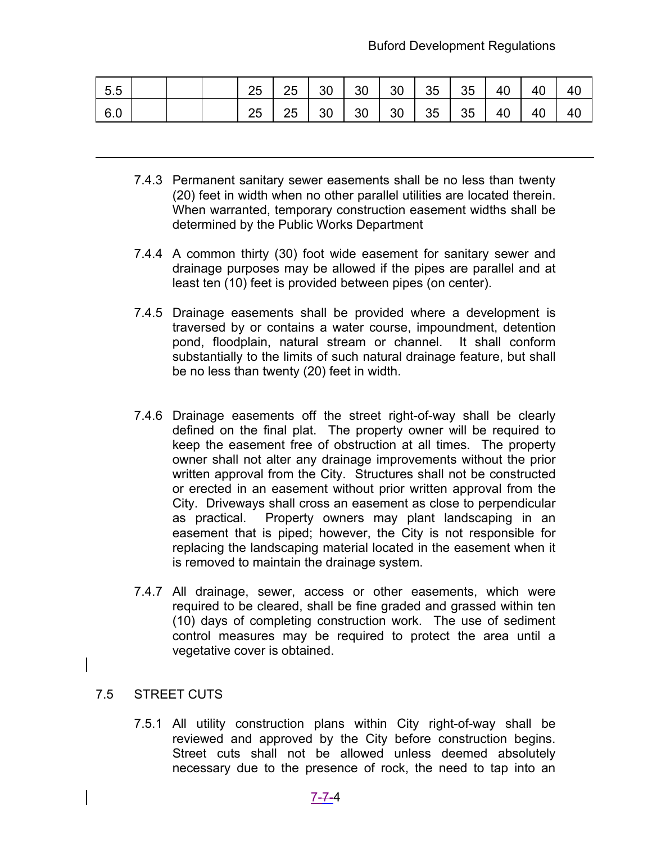| 5.5 |  | 25 |  |  |  | 25   30   30   30   35   35   40   40 | 40 |
|-----|--|----|--|--|--|---------------------------------------|----|
| 6.0 |  | 25 |  |  |  | 25   30   30   30   35   35   40   40 | 40 |

- 7.4.3 Permanent sanitary sewer easements shall be no less than twenty (20) feet in width when no other parallel utilities are located therein. When warranted, temporary construction easement widths shall be determined by the Public Works Department
- 7.4.4 A common thirty (30) foot wide easement for sanitary sewer and drainage purposes may be allowed if the pipes are parallel and at least ten (10) feet is provided between pipes (on center).
- 7.4.5 Drainage easements shall be provided where a development is traversed by or contains a water course, impoundment, detention pond, floodplain, natural stream or channel. It shall conform substantially to the limits of such natural drainage feature, but shall be no less than twenty (20) feet in width.
- 7.4.6 Drainage easements off the street right-of-way shall be clearly defined on the final plat. The property owner will be required to keep the easement free of obstruction at all times. The property owner shall not alter any drainage improvements without the prior written approval from the City. Structures shall not be constructed or erected in an easement without prior written approval from the City. Driveways shall cross an easement as close to perpendicular as practical. Property owners may plant landscaping in an easement that is piped; however, the City is not responsible for replacing the landscaping material located in the easement when it is removed to maintain the drainage system.
- 7.4.7 All drainage, sewer, access or other easements, which were required to be cleared, shall be fine graded and grassed within ten (10) days of completing construction work. The use of sediment control measures may be required to protect the area until a vegetative cover is obtained.

#### 7.5 STREET CUTS

 $\overline{a}$ 

7.5.1 All utility construction plans within City right-of-way shall be reviewed and approved by the City before construction begins. Street cuts shall not be allowed unless deemed absolutely necessary due to the presence of rock, the need to tap into an